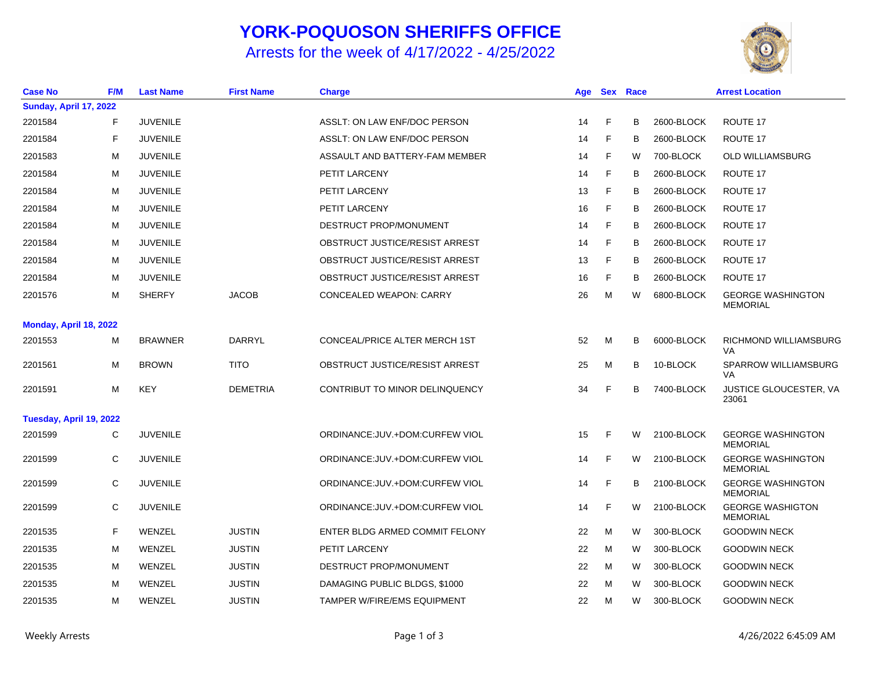## **YORK-POQUOSON SHERIFFS OFFICE**

Arrests for the week of 4/17/2022 - 4/25/2022



| <b>Case No</b>          | F/M | <b>Last Name</b> | <b>First Name</b> | <b>Charge</b>                      | Age |   | <b>Sex Race</b> |            | <b>Arrest Location</b>                      |
|-------------------------|-----|------------------|-------------------|------------------------------------|-----|---|-----------------|------------|---------------------------------------------|
| Sunday, April 17, 2022  |     |                  |                   |                                    |     |   |                 |            |                                             |
| 2201584                 | F   | <b>JUVENILE</b>  |                   | ASSLT: ON LAW ENF/DOC PERSON       | 14  | F | в               | 2600-BLOCK | ROUTE 17                                    |
| 2201584                 | F   | <b>JUVENILE</b>  |                   | ASSLT: ON LAW ENF/DOC PERSON       | 14  | F | в               | 2600-BLOCK | ROUTE 17                                    |
| 2201583                 | м   | <b>JUVENILE</b>  |                   | ASSAULT AND BATTERY-FAM MEMBER     | 14  | F | W               | 700-BLOCK  | <b>OLD WILLIAMSBURG</b>                     |
| 2201584                 | м   | <b>JUVENILE</b>  |                   | PETIT LARCENY                      | 14  | F | B               | 2600-BLOCK | ROUTE 17                                    |
| 2201584                 | м   | <b>JUVENILE</b>  |                   | PETIT LARCENY                      | 13  | F | B               | 2600-BLOCK | ROUTE 17                                    |
| 2201584                 | м   | <b>JUVENILE</b>  |                   | <b>PETIT LARCENY</b>               | 16  | F | В               | 2600-BLOCK | ROUTE 17                                    |
| 2201584                 | м   | <b>JUVENILE</b>  |                   | DESTRUCT PROP/MONUMENT             | 14  | F | B               | 2600-BLOCK | ROUTE 17                                    |
| 2201584                 | м   | <b>JUVENILE</b>  |                   | OBSTRUCT JUSTICE/RESIST ARREST     | 14  | F | B               | 2600-BLOCK | ROUTE 17                                    |
| 2201584                 | м   | <b>JUVENILE</b>  |                   | OBSTRUCT JUSTICE/RESIST ARREST     | 13  | F | B               | 2600-BLOCK | ROUTE 17                                    |
| 2201584                 | м   | <b>JUVENILE</b>  |                   | OBSTRUCT JUSTICE/RESIST ARREST     | 16  | F | B               | 2600-BLOCK | ROUTE 17                                    |
| 2201576                 | M   | <b>SHERFY</b>    | <b>JACOB</b>      | <b>CONCEALED WEAPON: CARRY</b>     | 26  | M | W               | 6800-BLOCK | <b>GEORGE WASHINGTON</b><br><b>MEMORIAL</b> |
| Monday, April 18, 2022  |     |                  |                   |                                    |     |   |                 |            |                                             |
| 2201553                 | м   | <b>BRAWNER</b>   | DARRYL            | CONCEAL/PRICE ALTER MERCH 1ST      | 52  | M | В               | 6000-BLOCK | RICHMOND WILLIAMSBURG<br><b>VA</b>          |
| 2201561                 | M   | <b>BROWN</b>     | <b>TITO</b>       | OBSTRUCT JUSTICE/RESIST ARREST     | 25  | M | B               | 10-BLOCK   | <b>SPARROW WILLIAMSBURG</b><br>VA           |
| 2201591                 | M   | <b>KEY</b>       | <b>DEMETRIA</b>   | CONTRIBUT TO MINOR DELINQUENCY     | 34  | E | B               | 7400-BLOCK | <b>JUSTICE GLOUCESTER, VA</b><br>23061      |
| Tuesday, April 19, 2022 |     |                  |                   |                                    |     |   |                 |            |                                             |
| 2201599                 | C   | <b>JUVENILE</b>  |                   | ORDINANCE: JUV. + DOM: CURFEW VIOL | 15  | E | W               | 2100-BLOCK | <b>GEORGE WASHINGTON</b><br><b>MEMORIAL</b> |
| 2201599                 | C   | <b>JUVENILE</b>  |                   | ORDINANCE: JUV. + DOM: CURFEW VIOL | 14  | E | W               | 2100-BLOCK | <b>GEORGE WASHINGTON</b><br><b>MEMORIAL</b> |
| 2201599                 | C   | <b>JUVENILE</b>  |                   | ORDINANCE: JUV. + DOM: CURFEW VIOL | 14  | E | в               | 2100-BLOCK | <b>GEORGE WASHINGTON</b><br><b>MEMORIAL</b> |
| 2201599                 | C   | <b>JUVENILE</b>  |                   | ORDINANCE: JUV.+DOM: CURFEW VIOL   | 14  | E | W               | 2100-BLOCK | <b>GEORGE WASHIGTON</b><br><b>MEMORIAL</b>  |
| 2201535                 | F   | WENZEL           | <b>JUSTIN</b>     | ENTER BLDG ARMED COMMIT FELONY     | 22  | M | W               | 300-BLOCK  | <b>GOODWIN NECK</b>                         |
| 2201535                 | M   | WENZEL           | <b>JUSTIN</b>     | PETIT LARCENY                      | 22  | M | W               | 300-BLOCK  | <b>GOODWIN NECK</b>                         |
| 2201535                 | м   | WENZEL           | <b>JUSTIN</b>     | DESTRUCT PROP/MONUMENT             | 22  | M | W               | 300-BLOCK  | <b>GOODWIN NECK</b>                         |
| 2201535                 | M   | WENZEL           | <b>JUSTIN</b>     | DAMAGING PUBLIC BLDGS, \$1000      | 22  | M | W               | 300-BLOCK  | <b>GOODWIN NECK</b>                         |
| 2201535                 | M   | WENZEL           | <b>JUSTIN</b>     | <b>TAMPER W/FIRE/EMS EQUIPMENT</b> | 22  | M | W               | 300-BLOCK  | <b>GOODWIN NECK</b>                         |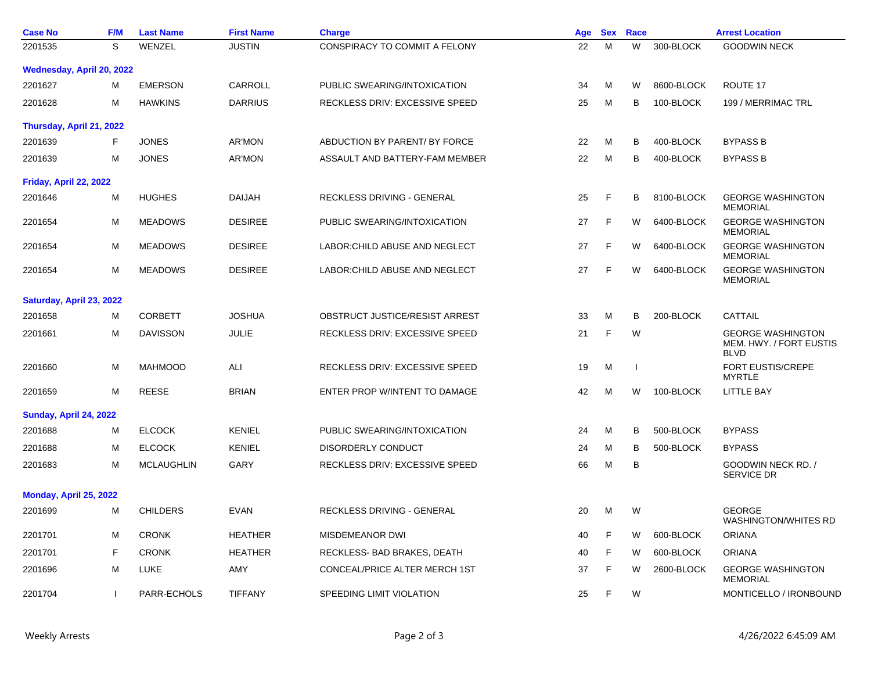| <b>Case No</b>                | F/M          | <b>Last Name</b>  | <b>First Name</b> | <b>Charge</b>                         | Age | <b>Sex</b>  | Race         |            | <b>Arrest Location</b>                                             |
|-------------------------------|--------------|-------------------|-------------------|---------------------------------------|-----|-------------|--------------|------------|--------------------------------------------------------------------|
| 2201535                       | S            | WENZEL            | <b>JUSTIN</b>     | CONSPIRACY TO COMMIT A FELONY         | 22  | M           | W            | 300-BLOCK  | <b>GOODWIN NECK</b>                                                |
| Wednesday, April 20, 2022     |              |                   |                   |                                       |     |             |              |            |                                                                    |
| 2201627                       | м            | <b>EMERSON</b>    | <b>CARROLL</b>    | PUBLIC SWEARING/INTOXICATION          | 34  | M           | W            | 8600-BLOCK | ROUTE 17                                                           |
| 2201628                       | м            | <b>HAWKINS</b>    | <b>DARRIUS</b>    | RECKLESS DRIV: EXCESSIVE SPEED        | 25  | M           | В            | 100-BLOCK  | 199 / MERRIMAC TRL                                                 |
| Thursday, April 21, 2022      |              |                   |                   |                                       |     |             |              |            |                                                                    |
| 2201639                       | F            | <b>JONES</b>      | AR'MON            | ABDUCTION BY PARENT/ BY FORCE         | 22  | M           | B            | 400-BLOCK  | <b>BYPASS B</b>                                                    |
| 2201639                       | M            | <b>JONES</b>      | AR'MON            | ASSAULT AND BATTERY-FAM MEMBER        | 22  | м           | B            | 400-BLOCK  | <b>BYPASS B</b>                                                    |
| Friday, April 22, 2022        |              |                   |                   |                                       |     |             |              |            |                                                                    |
| 2201646                       | M            | <b>HUGHES</b>     | DAIJAH            | RECKLESS DRIVING - GENERAL            | 25  | F           | B            | 8100-BLOCK | <b>GEORGE WASHINGTON</b><br><b>MEMORIAL</b>                        |
| 2201654                       | M            | <b>MEADOWS</b>    | <b>DESIREE</b>    | PUBLIC SWEARING/INTOXICATION          | 27  | F           | W            | 6400-BLOCK | <b>GEORGE WASHINGTON</b><br><b>MEMORIAL</b>                        |
| 2201654                       | м            | <b>MEADOWS</b>    | <b>DESIREE</b>    | LABOR: CHILD ABUSE AND NEGLECT        | 27  | F           | W            | 6400-BLOCK | <b>GEORGE WASHINGTON</b><br><b>MEMORIAL</b>                        |
| 2201654                       | M            | <b>MEADOWS</b>    | <b>DESIREE</b>    | LABOR: CHILD ABUSE AND NEGLECT        | 27  | $\mathsf F$ | W            | 6400-BLOCK | <b>GEORGE WASHINGTON</b><br><b>MEMORIAL</b>                        |
| Saturday, April 23, 2022      |              |                   |                   |                                       |     |             |              |            |                                                                    |
| 2201658                       | м            | <b>CORBETT</b>    | <b>JOSHUA</b>     | OBSTRUCT JUSTICE/RESIST ARREST        | 33  | M           | B            | 200-BLOCK  | CATTAIL                                                            |
| 2201661                       | M            | <b>DAVISSON</b>   | <b>JULIE</b>      | RECKLESS DRIV: EXCESSIVE SPEED        | 21  | F           | W            |            | <b>GEORGE WASHINGTON</b><br>MEM. HWY. / FORT EUSTIS<br><b>BLVD</b> |
| 2201660                       | M            | <b>MAHMOOD</b>    | ALI               | <b>RECKLESS DRIV: EXCESSIVE SPEED</b> | 19  | M           | $\mathbf{I}$ |            | <b>FORT EUSTIS/CREPE</b><br><b>MYRTLE</b>                          |
| 2201659                       | M            | <b>REESE</b>      | <b>BRIAN</b>      | ENTER PROP W/INTENT TO DAMAGE         | 42  | M           | W            | 100-BLOCK  | <b>LITTLE BAY</b>                                                  |
| <b>Sunday, April 24, 2022</b> |              |                   |                   |                                       |     |             |              |            |                                                                    |
| 2201688                       | М            | <b>ELCOCK</b>     | <b>KENIEL</b>     | PUBLIC SWEARING/INTOXICATION          | 24  | М           | В            | 500-BLOCK  | <b>BYPASS</b>                                                      |
| 2201688                       | M            | <b>ELCOCK</b>     | <b>KENIEL</b>     | DISORDERLY CONDUCT                    | 24  | M           | В            | 500-BLOCK  | <b>BYPASS</b>                                                      |
| 2201683                       | M            | <b>MCLAUGHLIN</b> | GARY              | RECKLESS DRIV: EXCESSIVE SPEED        | 66  | M           | B            |            | GOODWIN NECK RD. /<br><b>SERVICE DR</b>                            |
| Monday, April 25, 2022        |              |                   |                   |                                       |     |             |              |            |                                                                    |
| 2201699                       | м            | <b>CHILDERS</b>   | <b>EVAN</b>       | RECKLESS DRIVING - GENERAL            | 20  | M           | W            |            | <b>GEORGE</b><br><b>WASHINGTON/WHITES RD</b>                       |
| 2201701                       | м            | <b>CRONK</b>      | <b>HEATHER</b>    | <b>MISDEMEANOR DWI</b>                | 40  | F           | W            | 600-BLOCK  | <b>ORIANA</b>                                                      |
| 2201701                       | $\mathsf{F}$ | <b>CRONK</b>      | <b>HEATHER</b>    | RECKLESS- BAD BRAKES, DEATH           | 40  | F           | W            | 600-BLOCK  | <b>ORIANA</b>                                                      |
| 2201696                       | M            | <b>LUKE</b>       | AMY               | CONCEAL/PRICE ALTER MERCH 1ST         | 37  | F           | W            | 2600-BLOCK | <b>GEORGE WASHINGTON</b><br><b>MEMORIAL</b>                        |
| 2201704                       |              | PARR-ECHOLS       | <b>TIFFANY</b>    | SPEEDING LIMIT VIOLATION              | 25  | F           | W            |            | MONTICELLO / IRONBOUND                                             |